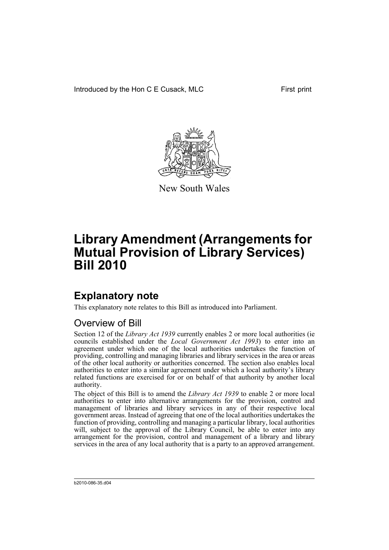Introduced by the Hon C E Cusack, MLC First print



New South Wales

# **Library Amendment (Arrangements for Mutual Provision of Library Services) Bill 2010**

### **Explanatory note**

This explanatory note relates to this Bill as introduced into Parliament.

#### Overview of Bill

Section 12 of the *Library Act 1939* currently enables 2 or more local authorities (ie councils established under the *Local Government Act 1993*) to enter into an agreement under which one of the local authorities undertakes the function of providing, controlling and managing libraries and library services in the area or areas of the other local authority or authorities concerned. The section also enables local authorities to enter into a similar agreement under which a local authority's library related functions are exercised for or on behalf of that authority by another local authority.

The object of this Bill is to amend the *Library Act 1939* to enable 2 or more local authorities to enter into alternative arrangements for the provision, control and management of libraries and library services in any of their respective local government areas. Instead of agreeing that one of the local authorities undertakes the function of providing, controlling and managing a particular library, local authorities will, subject to the approval of the Library Council, be able to enter into any arrangement for the provision, control and management of a library and library services in the area of any local authority that is a party to an approved arrangement.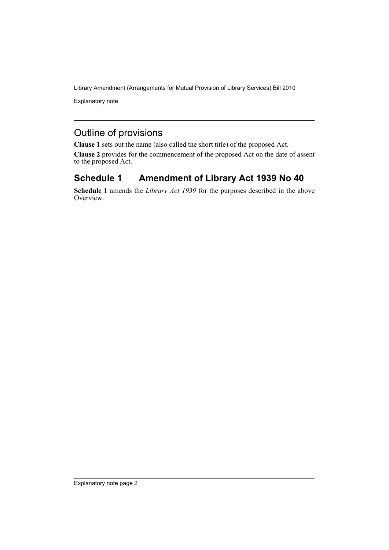Library Amendment (Arrangements for Mutual Provision of Library Services) Bill 2010

Explanatory note

### Outline of provisions

**Clause 1** sets out the name (also called the short title) of the proposed Act.

**Clause 2** provides for the commencement of the proposed Act on the date of assent to the proposed Act.

#### **Schedule 1 Amendment of Library Act 1939 No 40**

**Schedule 1** amends the *Library Act 1939* for the purposes described in the above Overview.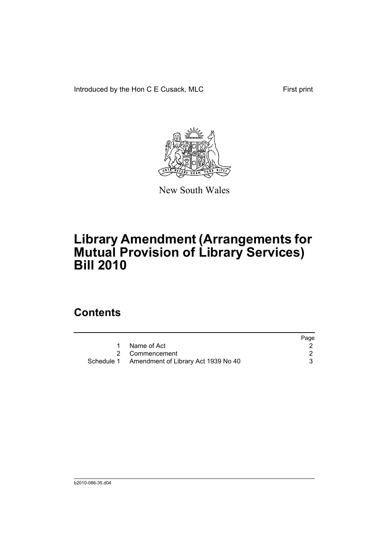Introduced by the Hon C E Cusack, MLC First print



New South Wales

# **Library Amendment (Arrangements for Mutual Provision of Library Services) Bill 2010**

### **Contents**

|                                                | Page |
|------------------------------------------------|------|
| Name of Act                                    |      |
| 2 Commencement                                 |      |
| Schedule 1 Amendment of Library Act 1939 No 40 |      |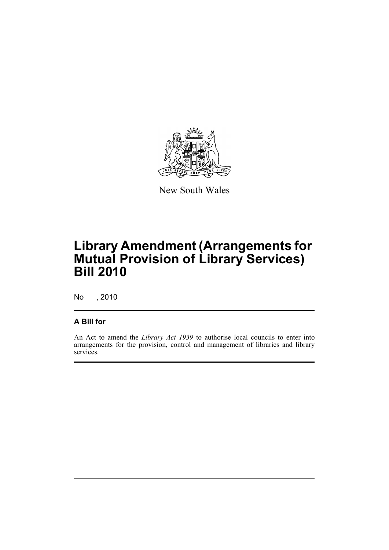

New South Wales

# **Library Amendment (Arrangements for Mutual Provision of Library Services) Bill 2010**

No , 2010

#### **A Bill for**

An Act to amend the *Library Act 1939* to authorise local councils to enter into arrangements for the provision, control and management of libraries and library services.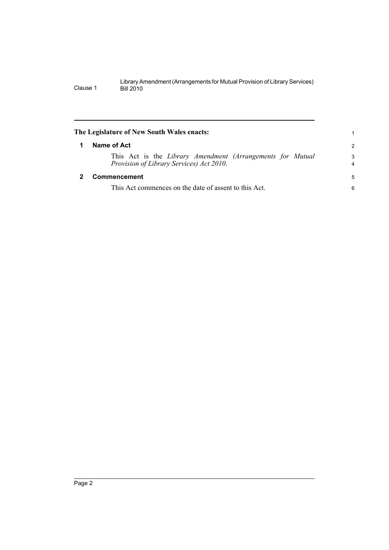<span id="page-5-1"></span><span id="page-5-0"></span>

|   | The Legislature of New South Wales enacts:                                                             |                     |
|---|--------------------------------------------------------------------------------------------------------|---------------------|
| 1 | Name of Act                                                                                            | $\overline{2}$      |
|   | This Act is the Library Amendment (Arrangements for Mutual<br>Provision of Library Services) Act 2010. | 3<br>$\overline{4}$ |
|   | <b>Commencement</b>                                                                                    | 5                   |
|   | This Act commences on the date of assent to this Act.                                                  | 6                   |